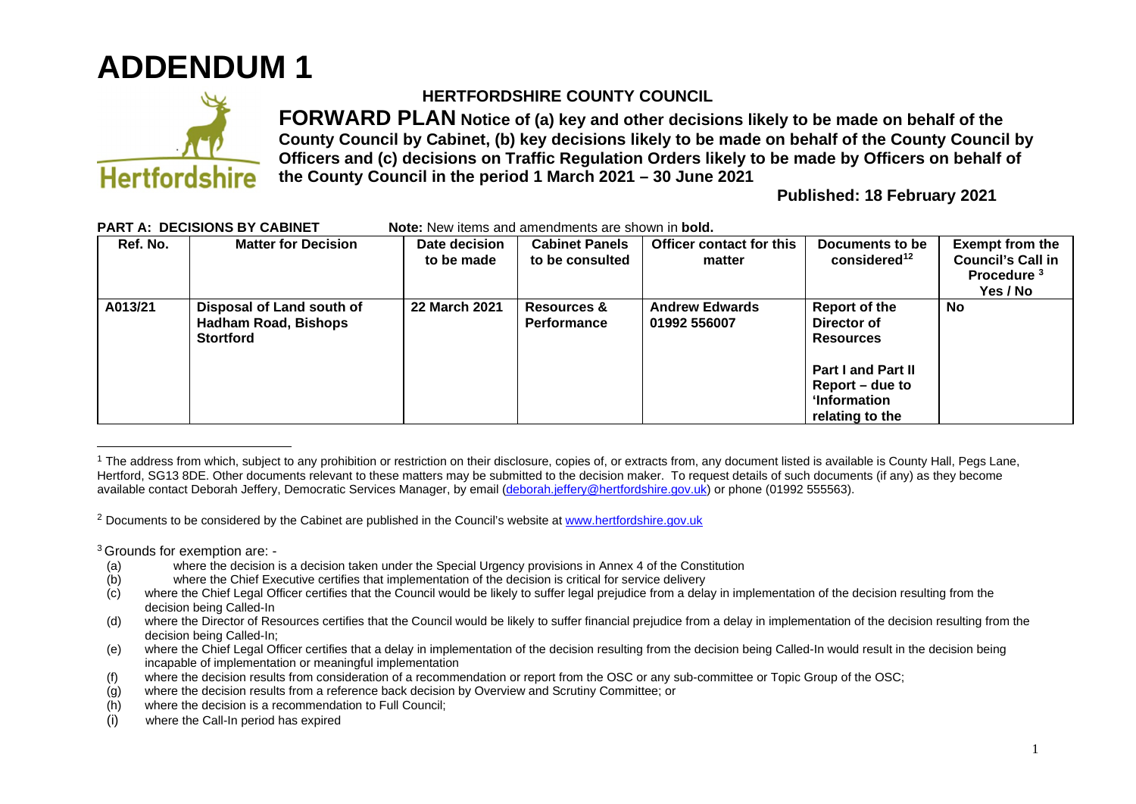## **ADDENDUM 1**



## **HERTFORDSHIRE COUNTY COUNCIL**

**FORWARD PLAN Notice of (a) key and other decisions likely to be made on behalf of the County Council by Cabinet, (b) key decisions likely to be made on behalf of the County Council by Officers and (c) decisions on Traffic Regulation Orders likely to be made by Officers on behalf of the County Council in the period 1 March 2021 – 30 June 2021** 

**Published: 18 February 2021**

| ANTA. DEGIJIONJ DI GADINET |                                                                              | <b>NOLE.</b> NEW ILCIUS AND ANICHOLICIUS ALE SHOWN IN <b>DOID.</b> |                                              |                                       |                                                                                                                                     |                                                                                          |  |
|----------------------------|------------------------------------------------------------------------------|--------------------------------------------------------------------|----------------------------------------------|---------------------------------------|-------------------------------------------------------------------------------------------------------------------------------------|------------------------------------------------------------------------------------------|--|
| Ref. No.                   | <b>Matter for Decision</b>                                                   | Date decision<br>to be made                                        | <b>Cabinet Panels</b><br>to be consulted     | Officer contact for this<br>matter    | Documents to be<br>considered <sup>12</sup>                                                                                         | <b>Exempt from the</b><br><b>Council's Call in</b><br>Procedure <sup>3</sup><br>Yes / No |  |
| A013/21                    | Disposal of Land south of<br><b>Hadham Road, Bishops</b><br><b>Stortford</b> | <b>22 March 2021</b>                                               | <b>Resources &amp;</b><br><b>Performance</b> | <b>Andrew Edwards</b><br>01992 556007 | Report of the<br>Director of<br><b>Resources</b><br><b>Part I and Part II</b><br>Report – due to<br>ʻInformation<br>relating to the | <b>No</b>                                                                                |  |

## **PART A: DECISIONS BY CABINET Note:** New items and amendments are shown in **bold.**

<sup>2</sup> Documents to be considered by the Cabinet are published in the Council's website at www.hertfordshire.gov.uk

<sup>3</sup>Grounds for exemption are: -

- (a) where the decision is a decision taken under the Special Urgency provisions in Annex 4 of the Constitution
- (b) where the Chief Executive certifies that implementation of the decision is critical for service delivery
- (c) where the Chief Legal Officer certifies that the Council would be likely to suffer legal prejudice from a delay in implementation of the decision resulting from the decision being Called-In
- (d) where the Director of Resources certifies that the Council would be likely to suffer financial prejudice from a delay in implementation of the decision resulting from the decision being Called-In;
- (e) where the Chief Legal Officer certifies that a delay in implementation of the decision resulting from the decision being Called-In would result in the decision being incapable of implementation or meaningful implementation
- (f) where the decision results from consideration of a recommendation or report from the OSC or any sub-committee or Topic Group of the OSC;
- (g) where the decision results from a reference back decision by Overview and Scrutiny Committee; or
- (h) where the decision is a recommendation to Full Council;
- (i) where the Call-In period has expired

<sup>&</sup>lt;sup>1</sup> The address from which, subject to any prohibition or restriction on their disclosure, copies of, or extracts from, any document listed is available is County Hall, Pegs Lane, Hertford, SG13 8DE. Other documents relevant to these matters may be submitted to the decision maker. To request details of such documents (if any) as they become available contact Deborah Jeffery, Democratic Services Manager, by email (deborah.jeffery@hertfordshire.gov.uk) or phone (01992 555563).